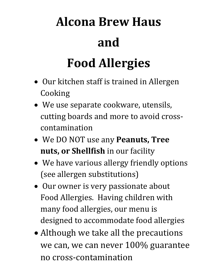## **Alcona Brew Haus and**

## **Food Allergies**

- Our kitchen staff is trained in Allergen Cooking
- We use separate cookware, utensils, cutting boards and more to avoid crosscontamination
- We DO NOT use any **Peanuts, Tree nuts, or Shellfish** in our facility
- We have various allergy friendly options (see allergen substitutions)
- Our owner is very passionate about Food Allergies. Having children with many food allergies, our menu is designed to accommodate food allergies
- Although we take all the precautions we can, we can never 100% guarantee no cross-contamination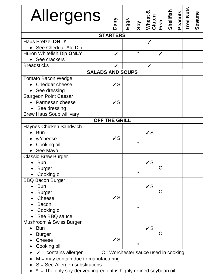| Allergens                                                                            | Dairy        | Eggs | Soy | య<br>Theat <i>i</i><br>Wheat <i>i</i><br>Eish<br>Eish |   | Shellfish | Peanuts | <b>Tree Nuts</b> | Sesame |  |
|--------------------------------------------------------------------------------------|--------------|------|-----|-------------------------------------------------------|---|-----------|---------|------------------|--------|--|
| <b>STARTERS</b>                                                                      |              |      |     |                                                       |   |           |         |                  |        |  |
| <b>Haus Pretzel ONLY</b>                                                             |              |      |     | $\checkmark$                                          |   |           |         |                  |        |  |
| See Cheddar Ale Dip                                                                  |              |      |     |                                                       |   |           |         |                  |        |  |
| Huron Whitefish Dip ONLY                                                             |              |      | *   |                                                       | ✔ |           |         |                  |        |  |
| See crackers                                                                         |              |      |     |                                                       |   |           |         |                  |        |  |
| <b>Breadsticks</b>                                                                   |              |      |     | $\checkmark$                                          |   |           |         |                  |        |  |
| <b>SALADS AND SOUPS</b>                                                              |              |      |     |                                                       |   |           |         |                  |        |  |
| <b>Tomato Bacon Wedge</b><br>Cheddar cheese<br>See dressing                          | $\checkmark$ |      |     |                                                       |   |           |         |                  |        |  |
| <b>Sturgeon Point Caesar</b>                                                         |              |      |     |                                                       |   |           |         |                  |        |  |
| Parmesan cheese                                                                      | $\sqrt{S}$   |      |     |                                                       |   |           |         |                  |        |  |
| See dressing                                                                         |              |      |     |                                                       |   |           |         |                  |        |  |
| <b>Brew Haus Soup will vary</b>                                                      |              |      |     |                                                       |   |           |         |                  |        |  |
| <b>OFF THE GRILL</b>                                                                 |              |      |     |                                                       |   |           |         |                  |        |  |
| Haynes Chicken Sandwich                                                              |              |      |     |                                                       |   |           |         |                  |        |  |
| <b>Bun</b>                                                                           |              |      |     | $\checkmark$                                          |   |           |         |                  |        |  |
| w/cheese                                                                             | $\sqrt{S}$   |      |     |                                                       |   |           |         |                  |        |  |
| Cooking oil                                                                          |              |      | *   |                                                       |   |           |         |                  |        |  |
| See Mayo                                                                             |              |      |     |                                                       |   |           |         |                  |        |  |
| <b>Classic Brew Burger</b>                                                           |              |      |     |                                                       |   |           |         |                  |        |  |
| $\bullet$ Bun                                                                        |              |      |     | $\checkmark$                                          |   |           |         |                  |        |  |
| <b>Burger</b>                                                                        |              |      | *   |                                                       | C |           |         |                  |        |  |
| Cooking oil                                                                          |              |      |     |                                                       |   |           |         |                  |        |  |
| <b>BBQ Bacon Burger</b>                                                              |              |      |     |                                                       |   |           |         |                  |        |  |
| <b>Bun</b>                                                                           |              |      |     | $\checkmark$                                          |   |           |         |                  |        |  |
| <b>Burger</b>                                                                        |              |      |     |                                                       | С |           |         |                  |        |  |
| Cheese                                                                               | $\checkmark$ |      |     |                                                       |   |           |         |                  |        |  |
| <b>Bacon</b>                                                                         |              |      | *   |                                                       |   |           |         |                  |        |  |
| Cooking oil                                                                          |              |      |     |                                                       |   |           |         |                  |        |  |
| See BBQ sauce                                                                        |              |      |     |                                                       |   |           |         |                  |        |  |
| Mushroom & Swiss Burger                                                              |              |      |     |                                                       |   |           |         |                  |        |  |
| <b>Bun</b>                                                                           |              |      |     | $\sqrt{s}$                                            |   |           |         |                  |        |  |
| <b>Burger</b>                                                                        |              |      |     |                                                       | C |           |         |                  |        |  |
| <b>Cheese</b>                                                                        | $\checkmark$ |      | *   |                                                       |   |           |         |                  |        |  |
| Cooking oil                                                                          |              |      |     |                                                       |   |           |         |                  |        |  |
| C= Worchester sauce used in cooking<br>$\checkmark$ = contains allergen<br>$\bullet$ |              |      |     |                                                       |   |           |         |                  |        |  |
| $M =$ may contain due to manufacturing                                               |              |      |     |                                                       |   |           |         |                  |        |  |
| $S =$ See Allergen substitutions                                                     |              |      |     |                                                       |   |           |         |                  |        |  |
| = The only soy-derived ingredient is highly refined soybean oil                      |              |      |     |                                                       |   |           |         |                  |        |  |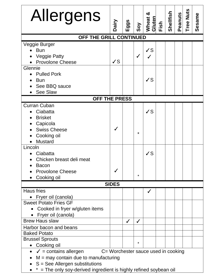| Allergens                                                                                                                                                                                                                               | Dairy        | Eggs         | Soy               | య<br>Wheat<br>Gluten<br>Fish |  | Shellfish | Peanuts | <b>Tree Nuts</b> | Sesame |
|-----------------------------------------------------------------------------------------------------------------------------------------------------------------------------------------------------------------------------------------|--------------|--------------|-------------------|------------------------------|--|-----------|---------|------------------|--------|
| OFF THE GRILL CONTINUED                                                                                                                                                                                                                 |              |              |                   |                              |  |           |         |                  |        |
| Veggie Burger<br><b>Bun</b><br><b>Veggie Patty</b><br><b>Provolone Cheese</b><br>Glennie<br><b>Pulled Pork</b><br><b>Bun</b><br>See BBQ sauce<br>See Slaw                                                                               | $\checkmark$ |              | $\checkmark$      | ✓S<br>$\checkmark$           |  |           |         |                  |        |
| OFF THE PRESS                                                                                                                                                                                                                           |              |              |                   |                              |  |           |         |                  |        |
| <b>Curran Cuban</b><br>Ciabatta<br><b>Brisket</b><br>Capicola<br><b>Swiss Cheese</b><br>Cooking oil<br><b>Mustard</b><br>Lincoln<br>Ciabatta<br>Chicken breast deli meat<br><b>Bacon</b><br><b>Provolone Cheese</b><br>Cooking oil      |              |              | $\star$<br>*      | $\checkmark$<br>$\checkmark$ |  |           |         |                  |        |
|                                                                                                                                                                                                                                         | <b>SIDES</b> |              |                   |                              |  |           |         |                  |        |
| <b>Haus fries</b><br>• Fryer oil (canola)<br><b>Sweet Potato Fries GF</b><br>Cooked in fryer w/gluten items<br>• Fryer oil (canola)                                                                                                     |              |              |                   | ✓                            |  |           |         |                  |        |
| <b>Brew Haus slaw</b><br>Harbor bacon and beans<br><b>Baked Potato</b><br><b>Brussel Sprouts</b>                                                                                                                                        |              | $\checkmark$ | $\checkmark$<br>* |                              |  |           |         |                  |        |
| Cooking oil<br>C= Worchester sauce used in cooking<br>$\checkmark$ = contains allergen<br>$M =$ may contain due to manufacturing<br>$S =$ See Allergen substitutions<br>= The only soy-derived ingredient is highly refined soybean oil |              |              |                   |                              |  |           |         |                  |        |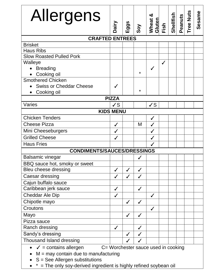| Allergens                                                                                                                                                                                                                | Dairy        | ggs<br>ய     | Soy          | ఱ<br>Wheat<br>Gluten<br>Fish |   |  | Shellfish<br>Peanuts | Tree Nuts | Sesame |  |
|--------------------------------------------------------------------------------------------------------------------------------------------------------------------------------------------------------------------------|--------------|--------------|--------------|------------------------------|---|--|----------------------|-----------|--------|--|
| <b>CRAFTED ENTREES</b>                                                                                                                                                                                                   |              |              |              |                              |   |  |                      |           |        |  |
| <b>Brisket</b>                                                                                                                                                                                                           |              |              |              |                              |   |  |                      |           |        |  |
| <b>Haus Ribs</b>                                                                                                                                                                                                         |              |              |              |                              |   |  |                      |           |        |  |
| <b>Slow Roasted Pulled Pork</b>                                                                                                                                                                                          |              |              |              |                              |   |  |                      |           |        |  |
| Walleye                                                                                                                                                                                                                  |              |              |              |                              | ✓ |  |                      |           |        |  |
| <b>Breading</b>                                                                                                                                                                                                          |              |              | *            | ✓                            |   |  |                      |           |        |  |
| Cooking oil                                                                                                                                                                                                              |              |              |              |                              |   |  |                      |           |        |  |
| <b>Smothered Chicken</b>                                                                                                                                                                                                 |              |              |              |                              |   |  |                      |           |        |  |
| <b>Swiss or Cheddar Cheese</b>                                                                                                                                                                                           |              |              | $\star$      |                              |   |  |                      |           |        |  |
| Cooking oil                                                                                                                                                                                                              | <b>PIZZA</b> |              |              |                              |   |  |                      |           |        |  |
| Varies                                                                                                                                                                                                                   | $\sqrt{s}$   |              |              | $\sqrt{s}$                   |   |  |                      |           |        |  |
| <b>KIDS MENU</b>                                                                                                                                                                                                         |              |              |              |                              |   |  |                      |           |        |  |
| <b>Chicken Tenders</b>                                                                                                                                                                                                   |              |              |              | $\checkmark$                 |   |  |                      |           |        |  |
| <b>Cheese Pizza</b>                                                                                                                                                                                                      |              |              | M            | ✓                            |   |  |                      |           |        |  |
| Mini Cheeseburgers                                                                                                                                                                                                       |              |              |              | $\checkmark$                 |   |  |                      |           |        |  |
| <b>Grilled Cheese</b>                                                                                                                                                                                                    |              |              |              | $\checkmark$                 |   |  |                      |           |        |  |
| <b>Haus Fries</b>                                                                                                                                                                                                        |              |              |              | ✔                            |   |  |                      |           |        |  |
| <b>CONDIMENTS/SAUCES/DRESSINGS</b>                                                                                                                                                                                       |              |              |              |                              |   |  |                      |           |        |  |
| <b>Balsamic vinegar</b>                                                                                                                                                                                                  |              |              | ✔            |                              |   |  |                      |           |        |  |
| BBQ sauce hot, smoky or sweet                                                                                                                                                                                            |              |              |              |                              |   |  |                      |           |        |  |
| Bleu cheese dressing                                                                                                                                                                                                     | ✓            | $\checkmark$ | $\checkmark$ |                              |   |  |                      |           |        |  |
| Caesar dressing                                                                                                                                                                                                          | ✓            | ✓            | ✓            |                              |   |  |                      |           |        |  |
| Cajun buffalo sauce                                                                                                                                                                                                      |              |              |              |                              |   |  |                      |           |        |  |
| Caribbean jerk sauce                                                                                                                                                                                                     | $\checkmark$ |              | $\checkmark$ |                              |   |  |                      |           |        |  |
| <b>Cheddar Ale Dip</b>                                                                                                                                                                                                   | ✓            |              |              | $\checkmark$                 |   |  |                      |           |        |  |
| Chipotle mayo                                                                                                                                                                                                            |              | $\checkmark$ | $\checkmark$ |                              |   |  |                      |           |        |  |
| Croutons                                                                                                                                                                                                                 |              |              |              | $\checkmark$                 |   |  |                      |           |        |  |
| Mayo                                                                                                                                                                                                                     |              | $\checkmark$ | $\checkmark$ |                              |   |  |                      |           |        |  |
| Pizza sauce                                                                                                                                                                                                              |              |              |              |                              |   |  |                      |           |        |  |
| Ranch dressing                                                                                                                                                                                                           | $\checkmark$ |              | $\checkmark$ |                              |   |  |                      |           |        |  |
| Sandy's dressing                                                                                                                                                                                                         |              | $\checkmark$ | $\checkmark$ |                              |   |  |                      |           |        |  |
| Thousand Island dressing                                                                                                                                                                                                 |              |              |              |                              |   |  |                      |           |        |  |
| C= Worchester sauce used in cooking<br>$\checkmark$ = contains allergen<br>$M =$ may contain due to manufacturing<br>$S =$ See Allergen substitutions<br>= The only soy-derived ingredient is highly refined soybean oil |              |              |              |                              |   |  |                      |           |        |  |